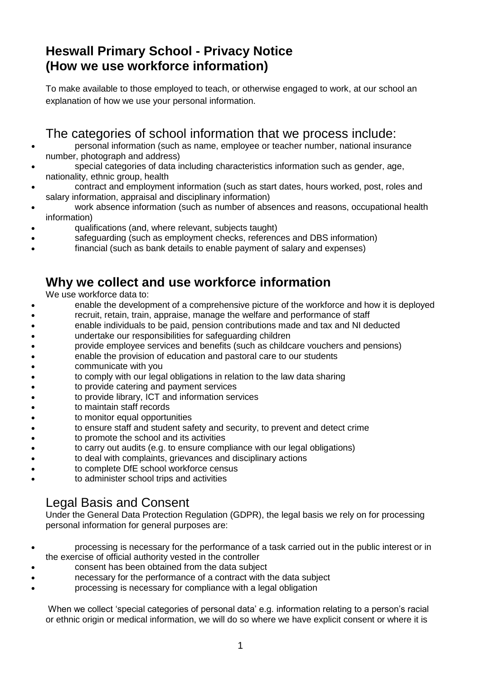# **Heswall Primary School - Privacy Notice (How we use workforce information)**

To make available to those employed to teach, or otherwise engaged to work, at our school an explanation of how we use your personal information.

### The categories of school information that we process include:

- personal information (such as name, employee or teacher number, national insurance number, photograph and address)
- special categories of data including characteristics information such as gender, age, nationality, ethnic group, health
- contract and employment information (such as start dates, hours worked, post, roles and salary information, appraisal and disciplinary information)
- work absence information (such as number of absences and reasons, occupational health information)
- qualifications (and, where relevant, subjects taught)
- safeguarding (such as employment checks, references and DBS information)
- financial (such as bank details to enable payment of salary and expenses)

#### **Why we collect and use workforce information**

We use workforce data to:

- enable the development of a comprehensive picture of the workforce and how it is deployed
- recruit, retain, train, appraise, manage the welfare and performance of staff
- enable individuals to be paid, pension contributions made and tax and NI deducted
- undertake our responsibilities for safeguarding children
- provide employee services and benefits (such as childcare vouchers and pensions)
- enable the provision of education and pastoral care to our students
- communicate with you
- to comply with our legal obligations in relation to the law data sharing
- to provide catering and payment services
- to provide library, ICT and information services
- to maintain staff records
- to monitor equal opportunities
- to ensure staff and student safety and security, to prevent and detect crime
- to promote the school and its activities
- to carry out audits (e.g. to ensure compliance with our legal obligations)
- to deal with complaints, grievances and disciplinary actions
- to complete DfE school workforce census
- to administer school trips and activities

# Legal Basis and Consent

Under the General Data Protection Regulation (GDPR), the legal basis we rely on for processing personal information for general purposes are:

- processing is necessary for the performance of a task carried out in the public interest or in the exercise of official authority vested in the controller
- consent has been obtained from the data subject
- necessary for the performance of a contract with the data subject
- processing is necessary for compliance with a legal obligation

When we collect 'special categories of personal data' e.g. information relating to a person's racial or ethnic origin or medical information, we will do so where we have explicit consent or where it is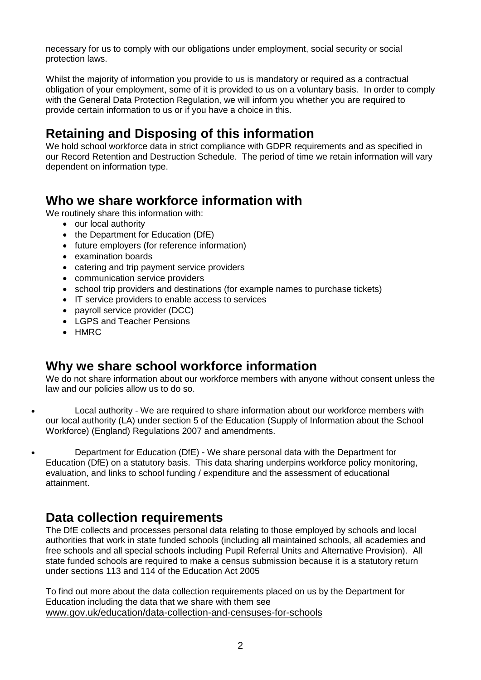necessary for us to comply with our obligations under employment, social security or social protection laws.

Whilst the majority of information you provide to us is mandatory or required as a contractual obligation of your employment, some of it is provided to us on a voluntary basis. In order to comply with the General Data Protection Regulation, we will inform you whether you are required to provide certain information to us or if you have a choice in this.

# **Retaining and Disposing of this information**

We hold school workforce data in strict compliance with GDPR requirements and as specified in our Record Retention and Destruction Schedule. The period of time we retain information will vary dependent on information type.

#### **Who we share workforce information with**

We routinely share this information with:

- our local authority
- the Department for Education (DfE)
- future employers (for reference information)
- examination boards
- catering and trip payment service providers
- communication service providers
- school trip providers and destinations (for example names to purchase tickets)
- IT service providers to enable access to services
- payroll service provider (DCC)
- LGPS and Teacher Pensions
- HMRC

### **Why we share school workforce information**

We do not share information about our workforce members with anyone without consent unless the law and our policies allow us to do so.

 Local authority - We are required to share information about our workforce members with our local authority (LA) under section 5 of the Education (Supply of Information about the School Workforce) (England) Regulations 2007 and amendments.

 Department for Education (DfE) - We share personal data with the Department for Education (DfE) on a statutory basis. This data sharing underpins workforce policy monitoring, evaluation, and links to school funding / expenditure and the assessment of educational attainment.

### **Data collection requirements**

The DfE collects and processes personal data relating to those employed by schools and local authorities that work in state funded schools (including all maintained schools, all academies and free schools and all special schools including Pupil Referral Units and Alternative Provision). All state funded schools are required to make a census submission because it is a statutory return under sections 113 and 114 of the Education Act 2005

To find out more about the data collection requirements placed on us by the Department for Education including the data that we share with them see [www.gov.uk/education/data-collection-and-censuses-for-schools](http://www.gov.uk/education/data-collection-and-censuses-for-schools)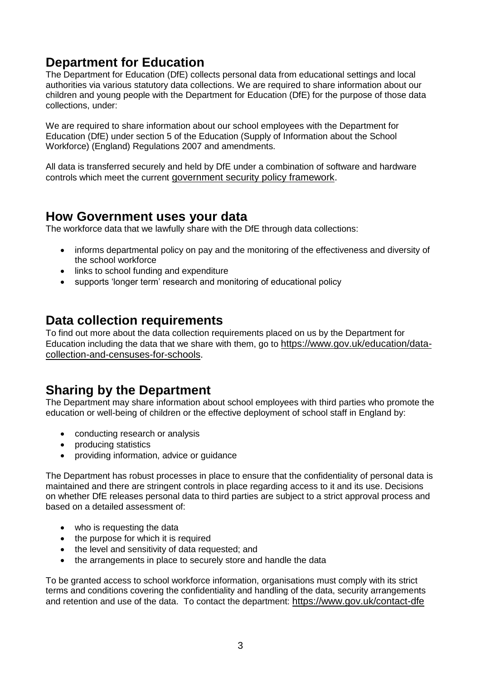# **Department for Education**

The Department for Education (DfE) collects personal data from educational settings and local authorities via various statutory data collections. We are required to share information about our children and young people with the Department for Education (DfE) for the purpose of those data collections, under:

We are required to share information about our school employees with the Department for Education (DfE) under section 5 of the Education (Supply of Information about the School Workforce) (England) Regulations 2007 and amendments.

All data is transferred securely and held by DfE under a combination of software and hardware controls which meet the current [government security policy framework.](https://www.gov.uk/government/publications/security-policy-framework)

#### **How Government uses your data**

The workforce data that we lawfully share with the DfE through data collections:

- informs departmental policy on pay and the monitoring of the effectiveness and diversity of the school workforce
- links to school funding and expenditure
- supports 'longer term' research and monitoring of educational policy

#### **Data collection requirements**

To find out more about the data collection requirements placed on us by the Department for Education including the data that we share with them, go to [https://www.gov.uk/education/data](https://www.gov.uk/education/data-collection-and-censuses-for-schools)[collection-and-censuses-for-schools.](https://www.gov.uk/education/data-collection-and-censuses-for-schools)

# **Sharing by the Department**

The Department may share information about school employees with third parties who promote the education or well-being of children or the effective deployment of school staff in England by:

- conducting research or analysis
- producing statistics
- providing information, advice or guidance

The Department has robust processes in place to ensure that the confidentiality of personal data is maintained and there are stringent controls in place regarding access to it and its use. Decisions on whether DfE releases personal data to third parties are subject to a strict approval process and based on a detailed assessment of:

- who is requesting the data
- the purpose for which it is required
- the level and sensitivity of data requested; and
- the arrangements in place to securely store and handle the data

To be granted access to school workforce information, organisations must comply with its strict terms and conditions covering the confidentiality and handling of the data, security arrangements and retention and use of the data. To contact the department: <https://www.gov.uk/contact-dfe>